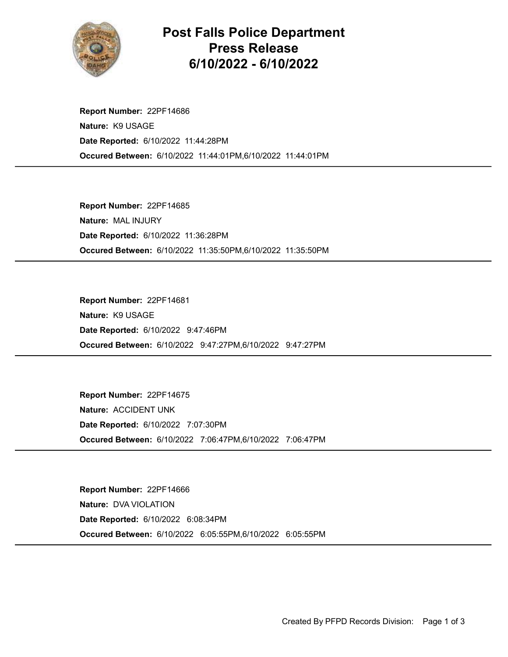

## Post Falls Police Department Press Release 6/10/2022 - 6/10/2022

Occured Between: 6/10/2022 11:44:01PM,6/10/2022 11:44:01PM Report Number: 22PF14686 Nature: K9 USAGE Date Reported: 6/10/2022 11:44:28PM

Occured Between: 6/10/2022 11:35:50PM,6/10/2022 11:35:50PM Report Number: 22PF14685 Nature: MAL INJURY Date Reported: 6/10/2022 11:36:28PM

Occured Between: 6/10/2022 9:47:27PM,6/10/2022 9:47:27PM Report Number: 22PF14681 Nature: K9 USAGE Date Reported: 6/10/2022 9:47:46PM

Occured Between: 6/10/2022 7:06:47PM,6/10/2022 7:06:47PM Report Number: 22PF14675 Nature: ACCIDENT UNK Date Reported: 6/10/2022 7:07:30PM

Occured Between: 6/10/2022 6:05:55PM,6/10/2022 6:05:55PM Report Number: 22PF14666 Nature: DVA VIOLATION Date Reported: 6/10/2022 6:08:34PM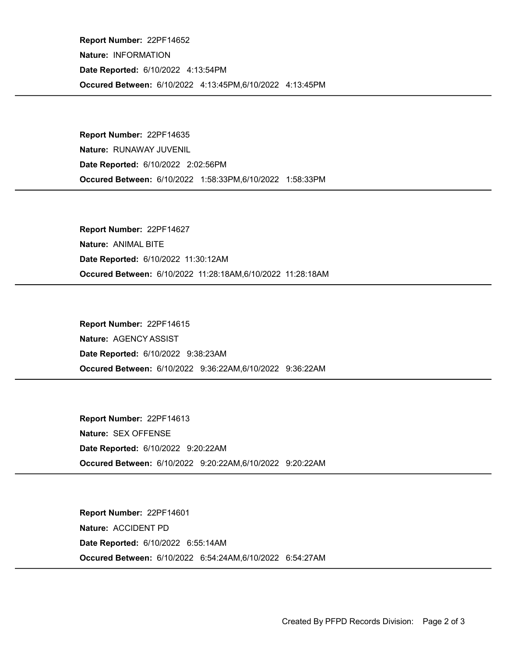Occured Between: 6/10/2022 4:13:45PM,6/10/2022 4:13:45PM Report Number: 22PF14652 Nature: INFORMATION Date Reported: 6/10/2022 4:13:54PM

Occured Between: 6/10/2022 1:58:33PM,6/10/2022 1:58:33PM Report Number: 22PF14635 Nature: RUNAWAY JUVENIL Date Reported: 6/10/2022 2:02:56PM

Occured Between: 6/10/2022 11:28:18AM,6/10/2022 11:28:18AM Report Number: 22PF14627 Nature: ANIMAL BITE Date Reported: 6/10/2022 11:30:12AM

Occured Between: 6/10/2022 9:36:22AM,6/10/2022 9:36:22AM Report Number: 22PF14615 Nature: AGENCY ASSIST Date Reported: 6/10/2022 9:38:23AM

Occured Between: 6/10/2022 9:20:22AM,6/10/2022 9:20:22AM Report Number: 22PF14613 Nature: SEX OFFENSE Date Reported: 6/10/2022 9:20:22AM

Occured Between: 6/10/2022 6:54:24AM,6/10/2022 6:54:27AM Report Number: 22PF14601 Nature: ACCIDENT PD Date Reported: 6/10/2022 6:55:14AM